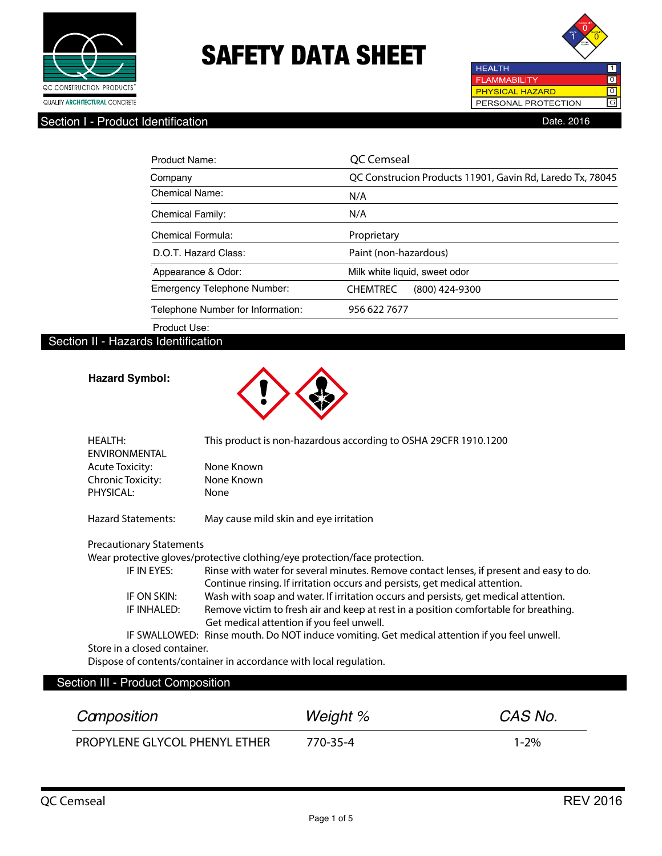



Section I - Product Identification **Date. 2016** 

| Product Name:                      | OC Cemseal                                                |
|------------------------------------|-----------------------------------------------------------|
| Company                            | QC Construcion Products 11901, Gavin Rd, Laredo Tx, 78045 |
| Chemical Name:                     | N/A                                                       |
| <b>Chemical Family:</b>            | N/A                                                       |
| <b>Chemical Formula:</b>           | Proprietary                                               |
| D.O.T. Hazard Class:               | Paint (non-hazardous)                                     |
| Appearance & Odor:                 | Milk white liquid, sweet odor                             |
| <b>Emergency Telephone Number:</b> | (800) 424-9300<br><b>CHEMTREC</b>                         |
| Telephone Number for Information:  | 956 622 7677                                              |
| Product Use:                       |                                                           |

#### Section II - Hazards Identification

#### **Hazard Symbol:**



| <b>HEALTH:</b><br><b>ENVIRONMENTAL</b> | This product is non-hazardous according to OSHA 29CFR 1910.1200                                                                                                        |
|----------------------------------------|------------------------------------------------------------------------------------------------------------------------------------------------------------------------|
| <b>Acute Toxicity:</b>                 | None Known                                                                                                                                                             |
| Chronic Toxicity:                      | None Known                                                                                                                                                             |
| PHYSICAL:                              | None                                                                                                                                                                   |
| <b>Hazard Statements:</b>              | May cause mild skin and eye irritation                                                                                                                                 |
| <b>Precautionary Statements</b>        |                                                                                                                                                                        |
|                                        | Wear protective gloves/protective clothing/eye protection/face protection.                                                                                             |
| IF IN EYES:                            | Rinse with water for several minutes. Remove contact lenses, if present and easy to do.<br>Continue rinsing. If irritation occurs and persists, get medical attention. |
| IF ON SKIN:                            | Wash with soap and water. If irritation occurs and persists, get medical attention.                                                                                    |
| IF INHALED:                            | Remove victim to fresh air and keep at rest in a position comfortable for breathing.                                                                                   |

Get medical attention if you feel unwell.

 IF SWALLOWED: Rinse mouth. Do NOT induce vomiting. Get medical attention if you feel unwell. Store in a closed container.

Dispose of contents/container in accordance with local regulation.

#### Section III - Product Composition

| Camposition                          | Weight % | CAS No.   |
|--------------------------------------|----------|-----------|
| <b>PROPYLENE GLYCOL PHENYL ETHER</b> | 770-35-4 | $1 - 2\%$ |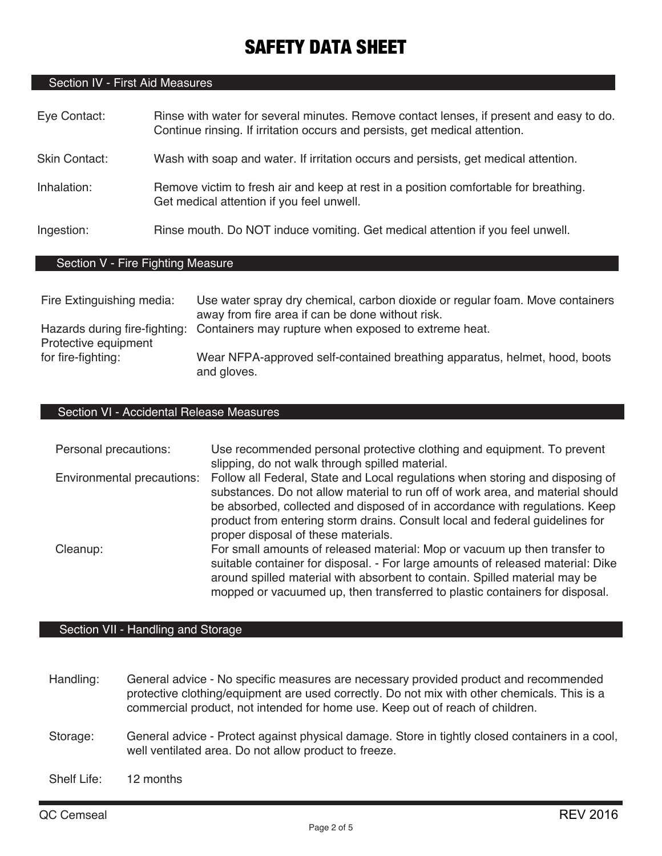### Section IV - First Aid Measures

| Eye Contact:  | Rinse with water for several minutes. Remove contact lenses, if present and easy to do.<br>Continue rinsing. If irritation occurs and persists, get medical attention. |
|---------------|------------------------------------------------------------------------------------------------------------------------------------------------------------------------|
| Skin Contact: | Wash with soap and water. If irritation occurs and persists, get medical attention.                                                                                    |
| Inhalation:   | Remove victim to fresh air and keep at rest in a position comfortable for breathing.<br>Get medical attention if you feel unwell.                                      |
| Ingestion:    | Rinse mouth. Do NOT induce vomiting. Get medical attention if you feel unwell.                                                                                         |
|               |                                                                                                                                                                        |

## Section V - Fire Fighting Measure

| Fire Extinguishing media: | Use water spray dry chemical, carbon dioxide or regular foam. Move containers<br>away from fire area if can be done without risk. |
|---------------------------|-----------------------------------------------------------------------------------------------------------------------------------|
| Protective equipment      | Hazards during fire-fighting: Containers may rupture when exposed to extreme heat.                                                |
| for fire-fighting:        | Wear NFPA-approved self-contained breathing apparatus, helmet, hood, boots<br>and gloves.                                         |

#### Section VI - Accidental Release Measures

| Personal precautions:      | Use recommended personal protective clothing and equipment. To prevent<br>slipping, do not walk through spilled material.                                                                                                                                                                                                                                             |
|----------------------------|-----------------------------------------------------------------------------------------------------------------------------------------------------------------------------------------------------------------------------------------------------------------------------------------------------------------------------------------------------------------------|
| Environmental precautions: | Follow all Federal, State and Local regulations when storing and disposing of<br>substances. Do not allow material to run off of work area, and material should<br>be absorbed, collected and disposed of in accordance with regulations. Keep<br>product from entering storm drains. Consult local and federal guidelines for<br>proper disposal of these materials. |
| Cleanup:                   | For small amounts of released material: Mop or vacuum up then transfer to<br>suitable container for disposal. - For large amounts of released material: Dike<br>around spilled material with absorbent to contain. Spilled material may be<br>mopped or vacuumed up, then transferred to plastic containers for disposal.                                             |

### Section VII - Handling and Storage

- Handling: General advice No specific measures are necessary provided product and recommended protective clothing/equipment are used correctly. Do not mix with other chemicals. This is a commercial product, not intended for home use. Keep out of reach of children.
- Storage: General advice Protect against physical damage. Store in tightly closed containers in a cool, well ventilated area. Do not allow product to freeze.

Shelf Life: 12 months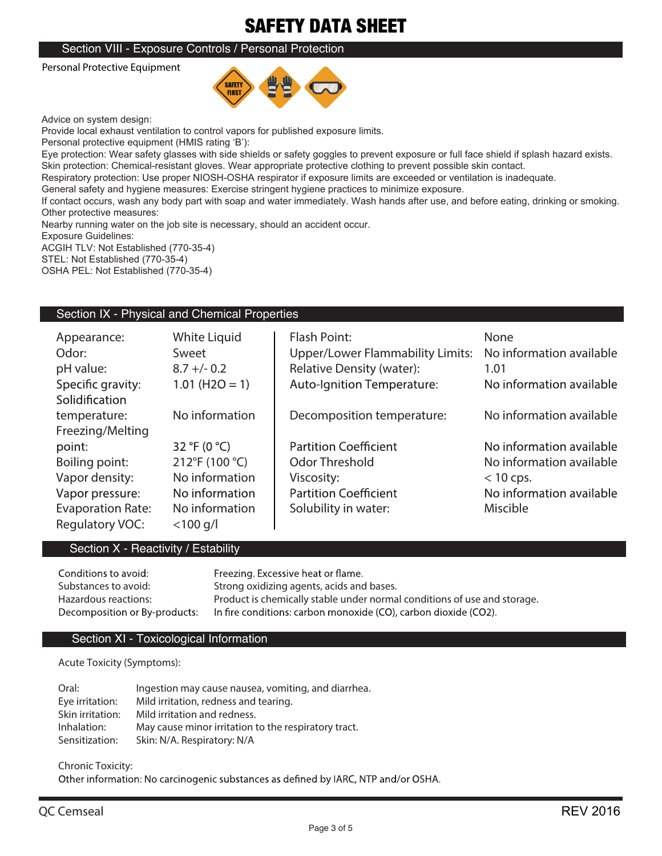#### Section VIII - Exposure Controls / Personal Protection

Personal Protective Equipment



Advice on system design: 

Provide local exhaust ventilation to control vapors for published exposure limits.

Personal protective equipment (HMIS rating 'B'):

Eye protection: Wear safety glasses with side shields or safety goggles to prevent exposure or full face shield if splash hazard exists. Skin protection: Chemical-resistant gloves. Wear appropriate protective clothing to prevent possible skin contact.

Respiratory protection: Use proper NIOSH-OSHA respirator if exposure limits are exceeded or ventilation is inadequate.

General safety and hygiene measures: Exercise stringent hygiene practices to minimize exposure.

If contact occurs, wash any body part with soap and water immediately. Wash hands after use, and before eating, drinking or smoking. Other protective measures:

Nearby running water on the job site is necessary, should an accident occur.

Exposure Guidelines:

ACGIH TLV: Not Established (770-35-4) STEL: Not Established (770-35-4)

OSHA PEL: Not Established (770-35-4)

#### Section IX - Physical and Chemical Properties

| Appearance:              | White Liquid     | <b>Flash Point:</b>                     | None                     |
|--------------------------|------------------|-----------------------------------------|--------------------------|
| Odor:                    | Sweet            | <b>Upper/Lower Flammability Limits:</b> | No information available |
| pH value:                | $8.7 +/- 0.2$    | <b>Relative Density (water):</b>        | 1.01                     |
| Specific gravity:        | $1.01$ (H2O = 1) | <b>Auto-Ignition Temperature:</b>       | No information available |
| Solidification           |                  |                                         |                          |
| temperature:             | No information   | Decomposition temperature:              | No information available |
| Freezing/Melting         |                  |                                         |                          |
| point:                   | 32 °F (0 °C)     | <b>Partition Coefficient</b>            | No information available |
| Boiling point:           | 212°F (100 °C)   | <b>Odor Threshold</b>                   | No information available |
| Vapor density:           | No information   | Viscosity:                              | $<$ 10 cps.              |
| Vapor pressure:          | No information   | <b>Partition Coefficient</b>            | No information available |
| <b>Evaporation Rate:</b> | No information   | Solubility in water:                    | <b>Miscible</b>          |
| Regulatory VOC:          | $<$ 100 g/l      |                                         |                          |

#### Section X - Reactivity / Estability

| Conditions to avoid:          | Freezing. Excessive heat or flame.                                       |
|-------------------------------|--------------------------------------------------------------------------|
| Substances to avoid:          | Strong oxidizing agents, acids and bases.                                |
| Hazardous reactions:          | Product is chemically stable under normal conditions of use and storage. |
| Decomposition or By-products: | In fire conditions: carbon monoxide (CO), carbon dioxide (CO2).          |

#### Section XI - Toxicological Information

**Acute Toxicity (Symptoms):**

| Oral:            | Ingestion may cause nausea, vomiting, and diarrhea.  |
|------------------|------------------------------------------------------|
| Eye irritation:  | Mild irritation, redness and tearing.                |
| Skin irritation: | Mild irritation and redness.                         |
| Inhalation:      | May cause minor irritation to the respiratory tract. |
| Sensitization:   | Skin: N/A. Respiratory: N/A                          |

**Chronic Toxicity:**

Other information: No carcinogenic substances as defined by IARC, NTP and/or OSHA.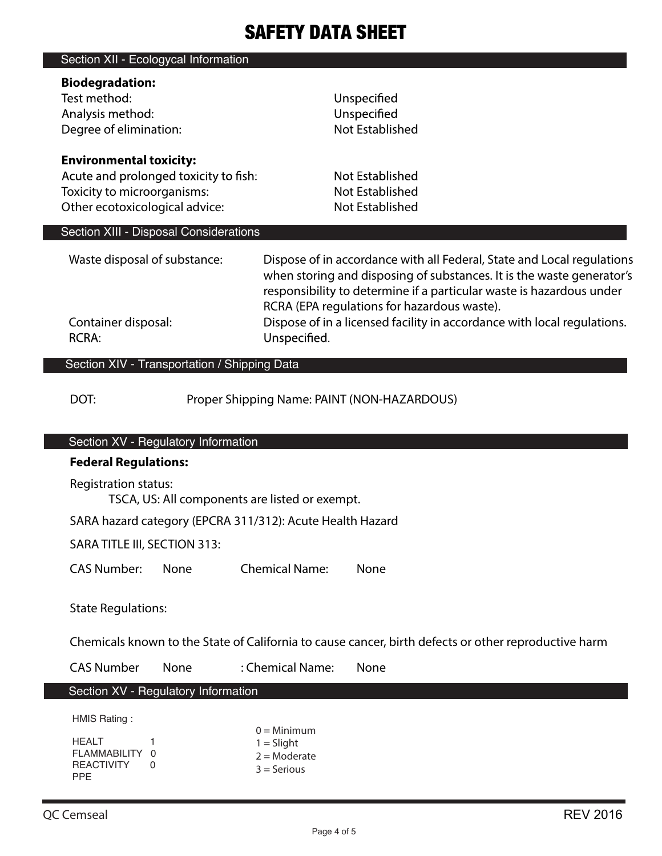| Section XII - Ecologycal Information         |                                                                         |
|----------------------------------------------|-------------------------------------------------------------------------|
| <b>Biodegradation:</b>                       |                                                                         |
| Test method:                                 | Unspecified                                                             |
| Analysis method:                             | Unspecified                                                             |
| Degree of elimination:                       | Not Established                                                         |
|                                              |                                                                         |
| <b>Environmental toxicity:</b>               |                                                                         |
| Acute and prolonged toxicity to fish:        | Not Established                                                         |
| Toxicity to microorganisms:                  | Not Established                                                         |
| Other ecotoxicological advice:               | Not Established                                                         |
|                                              |                                                                         |
| Section XIII - Disposal Considerations       |                                                                         |
|                                              |                                                                         |
| Waste disposal of substance:                 | Dispose of in accordance with all Federal, State and Local regulations  |
|                                              | when storing and disposing of substances. It is the waste generator's   |
|                                              | responsibility to determine if a particular waste is hazardous under    |
|                                              | RCRA (EPA regulations for hazardous waste).                             |
| Container disposal:                          | Dispose of in a licensed facility in accordance with local regulations. |
| <b>RCRA:</b>                                 | Unspecified.                                                            |
|                                              |                                                                         |
| Section XIV - Transportation / Shipping Data |                                                                         |
|                                              |                                                                         |

DOT: Proper Shipping Name: PAINT (NON-HAZARDOUS)

### Section XV - Regulatory Information

# **Federal Regulations:** Registration status: TSCA, US: All components are listed or exempt. SARA hazard category (EPCRA 311/312): Acute Health Hazard SARA TITLE III, SECTION 313: CAS Number: None Chemical Name: None State Regulations:

 $0 =$ Minimum  $1 =$  Slight  $2 =$ Moderate 3 = Serious

Chemicals known to the State of California to cause cancer, birth defects or other reproductive harm

CAS Number None : Chemical Name: None

## Section XV - Regulatory Information

HMIS Rating :

| HFAI T            | 1 |  |
|-------------------|---|--|
| FLAMMABILITY 0    |   |  |
| <b>REACTIVITY</b> | O |  |
| <b>PPF</b>        |   |  |